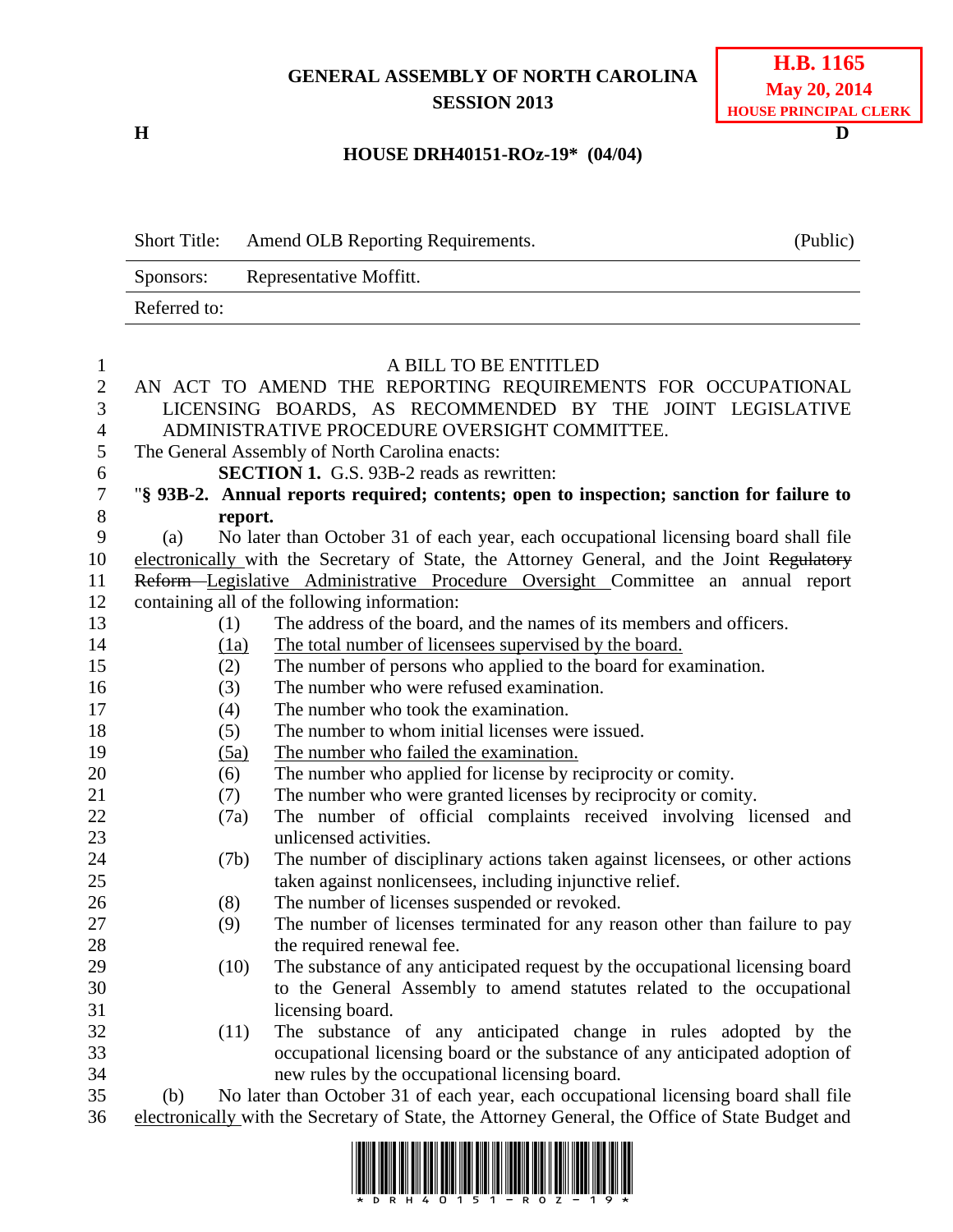## **GENERAL ASSEMBLY OF NORTH CAROLINA SESSION 2013**

**H D**

## **HOUSE DRH40151-ROz-19\* (04/04)**

|              | <b>Short Title:</b>                                                              | Amend OLB Reporting Requirements.                                                                | (Public) |
|--------------|----------------------------------------------------------------------------------|--------------------------------------------------------------------------------------------------|----------|
|              | Sponsors:                                                                        | Representative Moffitt.                                                                          |          |
|              | Referred to:                                                                     |                                                                                                  |          |
|              |                                                                                  |                                                                                                  |          |
| 1            |                                                                                  | A BILL TO BE ENTITLED                                                                            |          |
| $\mathbf{2}$ |                                                                                  | AN ACT TO AMEND THE REPORTING REQUIREMENTS FOR OCCUPATIONAL                                      |          |
| 3            | LICENSING BOARDS, AS RECOMMENDED BY THE JOINT LEGISLATIVE                        |                                                                                                  |          |
| 4            | ADMINISTRATIVE PROCEDURE OVERSIGHT COMMITTEE.                                    |                                                                                                  |          |
| 5            | The General Assembly of North Carolina enacts:                                   |                                                                                                  |          |
| 6            |                                                                                  | <b>SECTION 1.</b> G.S. 93B-2 reads as rewritten:                                                 |          |
| $\tau$       |                                                                                  | "§ 93B-2. Annual reports required; contents; open to inspection; sanction for failure to         |          |
| 8            |                                                                                  | report.                                                                                          |          |
| 9            | (a)                                                                              | No later than October 31 of each year, each occupational licensing board shall file              |          |
| 10           |                                                                                  | electronically with the Secretary of State, the Attorney General, and the Joint Regulatory       |          |
| 11           | Reform-Legislative Administrative Procedure Oversight Committee an annual report |                                                                                                  |          |
| 12           |                                                                                  | containing all of the following information:                                                     |          |
| 13           | (1)                                                                              | The address of the board, and the names of its members and officers.                             |          |
| 14           | (1a)                                                                             | The total number of licensees supervised by the board.                                           |          |
| 15           | (2)                                                                              | The number of persons who applied to the board for examination.                                  |          |
| 16           | (3)                                                                              | The number who were refused examination.                                                         |          |
| 17           | (4)                                                                              | The number who took the examination.                                                             |          |
| 18           | (5)                                                                              | The number to whom initial licenses were issued.                                                 |          |
| 19           | (5a)                                                                             | The number who failed the examination.                                                           |          |
| 20           | (6)                                                                              | The number who applied for license by reciprocity or comity.                                     |          |
| 21           | (7)                                                                              | The number who were granted licenses by reciprocity or comity.                                   |          |
| 22           | (7a)                                                                             | The number of official complaints received involving licensed and                                |          |
| 23           |                                                                                  | unlicensed activities.                                                                           |          |
| 24           |                                                                                  | The number of disciplinary actions taken against licensees, or other actions<br>(7b)             |          |
| 25           |                                                                                  | taken against nonlicensees, including injunctive relief.                                         |          |
| 26           | (8)                                                                              | The number of licenses suspended or revoked.                                                     |          |
| 27           | (9)                                                                              | The number of licenses terminated for any reason other than failure to pay                       |          |
| 28           |                                                                                  | the required renewal fee.                                                                        |          |
| 29           |                                                                                  | (10)<br>The substance of any anticipated request by the occupational licensing board             |          |
| 30           |                                                                                  | to the General Assembly to amend statutes related to the occupational                            |          |
| 31           |                                                                                  | licensing board.                                                                                 |          |
| 32           |                                                                                  | The substance of any anticipated change in rules adopted by the<br>(11)                          |          |
| 33           |                                                                                  | occupational licensing board or the substance of any anticipated adoption of                     |          |
| 34           |                                                                                  | new rules by the occupational licensing board.                                                   |          |
| 35           | (b)                                                                              | No later than October 31 of each year, each occupational licensing board shall file              |          |
| 36           |                                                                                  | electronically with the Secretary of State, the Attorney General, the Office of State Budget and |          |